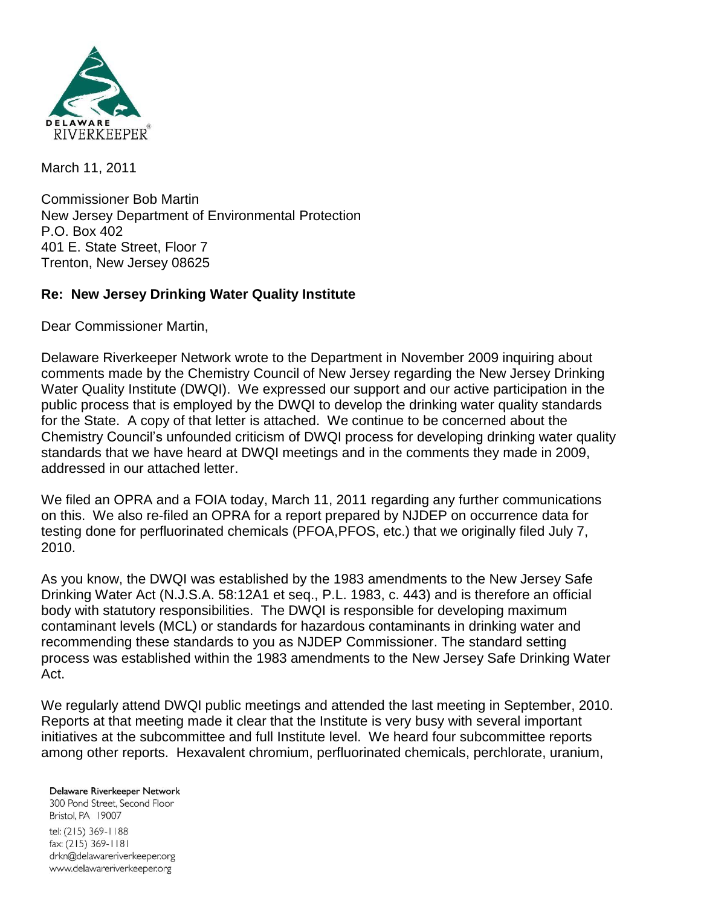

March 11, 2011

Commissioner Bob Martin New Jersey Department of Environmental Protection P.O. Box 402 401 E. State Street, Floor 7 Trenton, New Jersey 08625

## **Re: New Jersey Drinking Water Quality Institute**

Dear Commissioner Martin,

Delaware Riverkeeper Network wrote to the Department in November 2009 inquiring about comments made by the Chemistry Council of New Jersey regarding the New Jersey Drinking Water Quality Institute (DWQI). We expressed our support and our active participation in the public process that is employed by the DWQI to develop the drinking water quality standards for the State. A copy of that letter is attached. We continue to be concerned about the Chemistry Council's unfounded criticism of DWQI process for developing drinking water quality standards that we have heard at DWQI meetings and in the comments they made in 2009, addressed in our attached letter.

We filed an OPRA and a FOIA today, March 11, 2011 regarding any further communications on this. We also re-filed an OPRA for a report prepared by NJDEP on occurrence data for testing done for perfluorinated chemicals (PFOA,PFOS, etc.) that we originally filed July 7, 2010.

As you know, the DWQI was established by the 1983 amendments to the New Jersey Safe Drinking Water Act (N.J.S.A. 58:12A1 et seq., P.L. 1983, c. 443) and is therefore an official body with statutory responsibilities. The DWQI is responsible for developing maximum contaminant levels (MCL) or standards for hazardous contaminants in drinking water and recommending these standards to you as NJDEP Commissioner. The standard setting process was established within the 1983 amendments to the New Jersey Safe Drinking Water Act.

We regularly attend DWQI public meetings and attended the last meeting in September, 2010. Reports at that meeting made it clear that the Institute is very busy with several important initiatives at the subcommittee and full Institute level. We heard four subcommittee reports among other reports. Hexavalent chromium, perfluorinated chemicals, perchlorate, uranium,

## Delaware Riverkeeper Network 300 Pond Street, Second Floor Bristol, PA 19007 tel: (215) 369-1188 fax: (215) 369-1181 drkn@delawareriverkeeper.org www.delawareriverkeeper.org